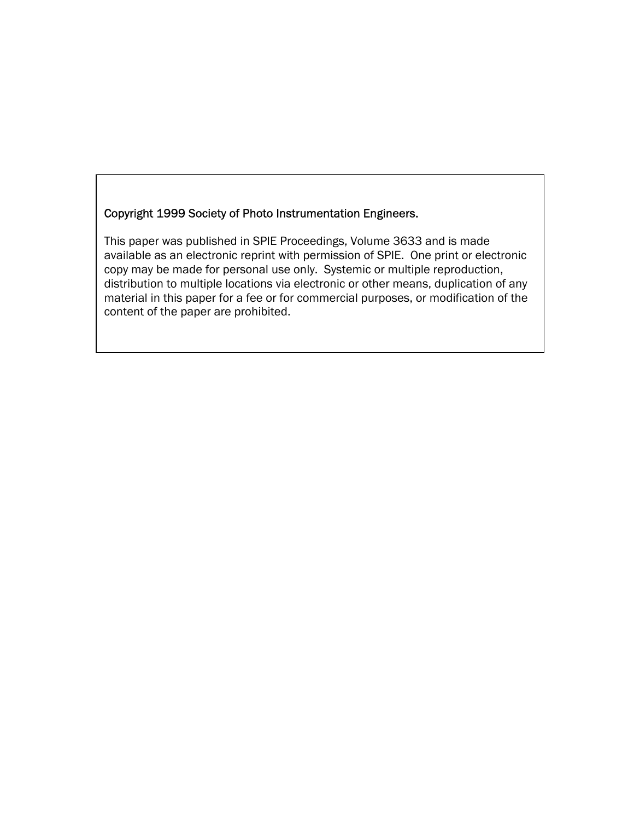# Copyright 1999 Society of Photo Instrumentation Engineers.

This paper was published in SPIE Proceedings, Volume 3633 and is made available as an electronic reprint with permission of SPIE. One print or electronic copy may be made for personal use only. Systemic or multiple reproduction, distribution to multiple locations via electronic or other means, duplication of any material in this paper for a fee or for commercial purposes, or modification of the content of the paper are prohibited.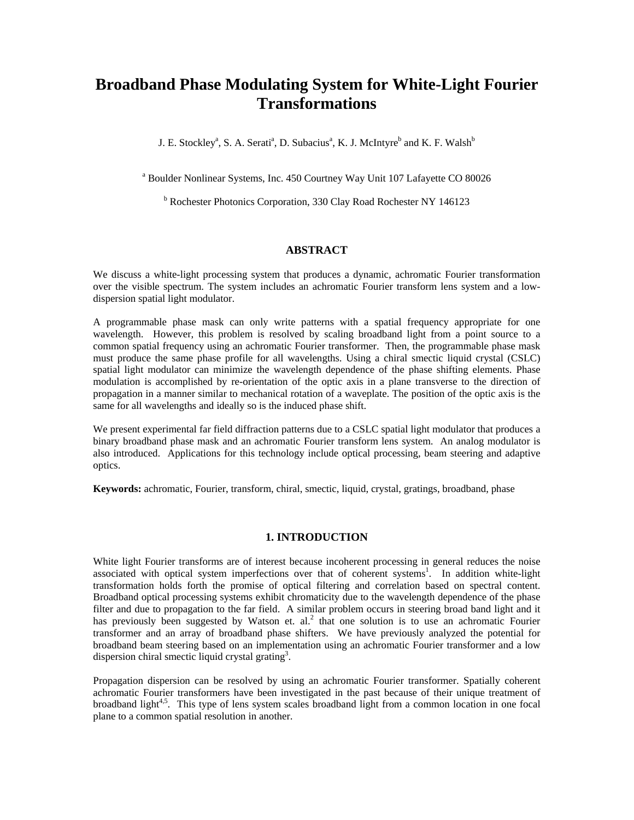# **Broadband Phase Modulating System for White-Light Fourier Transformations**

J. E. Stockley<sup>a</sup>, S. A. Serati<sup>a</sup>, D. Subacius<sup>a</sup>, K. J. McIntyre<sup>b</sup> and K. F. Walsh<sup>b</sup>

<sup>a</sup> Boulder Nonlinear Systems, Inc. 450 Courtney Way Unit 107 Lafayette CO 80026

<sup>b</sup> Rochester Photonics Corporation, 330 Clay Road Rochester NY 146123

#### **ABSTRACT**

We discuss a white-light processing system that produces a dynamic, achromatic Fourier transformation over the visible spectrum. The system includes an achromatic Fourier transform lens system and a lowdispersion spatial light modulator.

A programmable phase mask can only write patterns with a spatial frequency appropriate for one wavelength. However, this problem is resolved by scaling broadband light from a point source to a common spatial frequency using an achromatic Fourier transformer. Then, the programmable phase mask must produce the same phase profile for all wavelengths. Using a chiral smectic liquid crystal (CSLC) spatial light modulator can minimize the wavelength dependence of the phase shifting elements. Phase modulation is accomplished by re-orientation of the optic axis in a plane transverse to the direction of propagation in a manner similar to mechanical rotation of a waveplate. The position of the optic axis is the same for all wavelengths and ideally so is the induced phase shift.

We present experimental far field diffraction patterns due to a CSLC spatial light modulator that produces a binary broadband phase mask and an achromatic Fourier transform lens system. An analog modulator is also introduced. Applications for this technology include optical processing, beam steering and adaptive optics.

**Keywords:** achromatic, Fourier, transform, chiral, smectic, liquid, crystal, gratings, broadband, phase

#### **1. INTRODUCTION**

White light Fourier transforms are of interest because incoherent processing in general reduces the noise associated with optical system imperfections over that of coherent systems<sup>1</sup>. In addition white-light transformation holds forth the promise of optical filtering and correlation based on spectral content. Broadband optical processing systems exhibit chromaticity due to the wavelength dependence of the phase filter and due to propagation to the far field. A similar problem occurs in steering broad band light and it has previously been suggested by Watson et. al.<sup>2</sup> that one solution is to use an achromatic Fourier transformer and an array of broadband phase shifters. We have previously analyzed the potential for broadband beam steering based on an implementation using an achromatic Fourier transformer and a low dispersion chiral smectic liquid crystal grating<sup>3</sup>.

Propagation dispersion can be resolved by using an achromatic Fourier transformer. Spatially coherent achromatic Fourier transformers have been investigated in the past because of their unique treatment of broadband light<sup>4,5</sup>. This type of lens system scales broadband light from a common location in one focal plane to a common spatial resolution in another.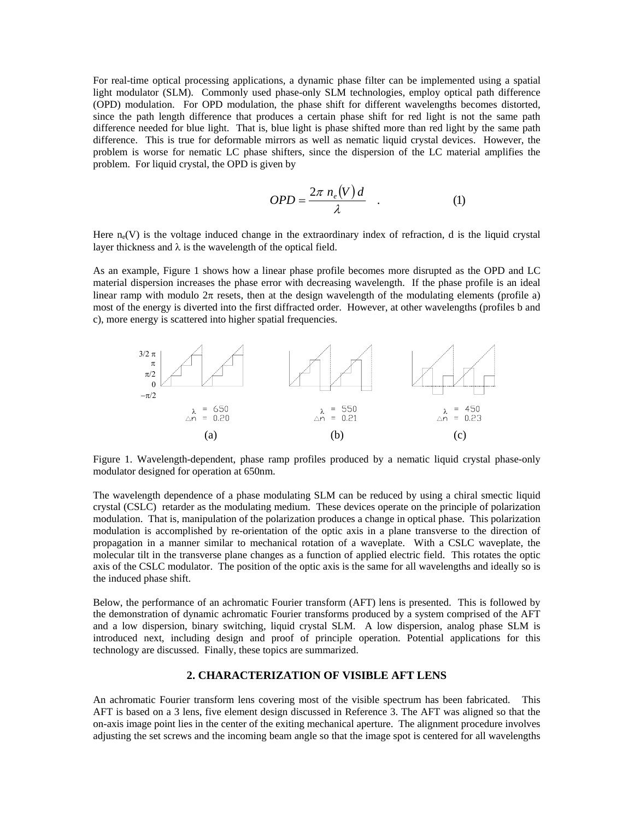For real-time optical processing applications, a dynamic phase filter can be implemented using a spatial light modulator (SLM). Commonly used phase-only SLM technologies, employ optical path difference (OPD) modulation. For OPD modulation, the phase shift for different wavelengths becomes distorted, since the path length difference that produces a certain phase shift for red light is not the same path difference needed for blue light. That is, blue light is phase shifted more than red light by the same path difference. This is true for deformable mirrors as well as nematic liquid crystal devices. However, the problem is worse for nematic LC phase shifters, since the dispersion of the LC material amplifies the problem. For liquid crystal, the OPD is given by

$$
OPD = \frac{2\pi \; n_e(V) \, d}{\lambda} \quad . \tag{1}
$$

Here  $n_e(V)$  is the voltage induced change in the extraordinary index of refraction, d is the liquid crystal layer thickness and  $\lambda$  is the wavelength of the optical field.

As an example, Figure 1 shows how a linear phase profile becomes more disrupted as the OPD and LC material dispersion increases the phase error with decreasing wavelength. If the phase profile is an ideal linear ramp with modulo  $2\pi$  resets, then at the design wavelength of the modulating elements (profile a) most of the energy is diverted into the first diffracted order. However, at other wavelengths (profiles b and c), more energy is scattered into higher spatial frequencies.



Figure 1. Wavelength-dependent, phase ramp profiles produced by a nematic liquid crystal phase-only modulator designed for operation at 650nm.

The wavelength dependence of a phase modulating SLM can be reduced by using a chiral smectic liquid crystal (CSLC) retarder as the modulating medium. These devices operate on the principle of polarization modulation. That is, manipulation of the polarization produces a change in optical phase. This polarization modulation is accomplished by re-orientation of the optic axis in a plane transverse to the direction of propagation in a manner similar to mechanical rotation of a waveplate. With a CSLC waveplate, the molecular tilt in the transverse plane changes as a function of applied electric field. This rotates the optic axis of the CSLC modulator. The position of the optic axis is the same for all wavelengths and ideally so is the induced phase shift.

Below, the performance of an achromatic Fourier transform (AFT) lens is presented. This is followed by the demonstration of dynamic achromatic Fourier transforms produced by a system comprised of the AFT and a low dispersion, binary switching, liquid crystal SLM. A low dispersion, analog phase SLM is introduced next, including design and proof of principle operation. Potential applications for this technology are discussed. Finally, these topics are summarized.

#### **2. CHARACTERIZATION OF VISIBLE AFT LENS**

An achromatic Fourier transform lens covering most of the visible spectrum has been fabricated. This AFT is based on a 3 lens, five element design discussed in Reference 3. The AFT was aligned so that the on-axis image point lies in the center of the exiting mechanical aperture. The alignment procedure involves adjusting the set screws and the incoming beam angle so that the image spot is centered for all wavelengths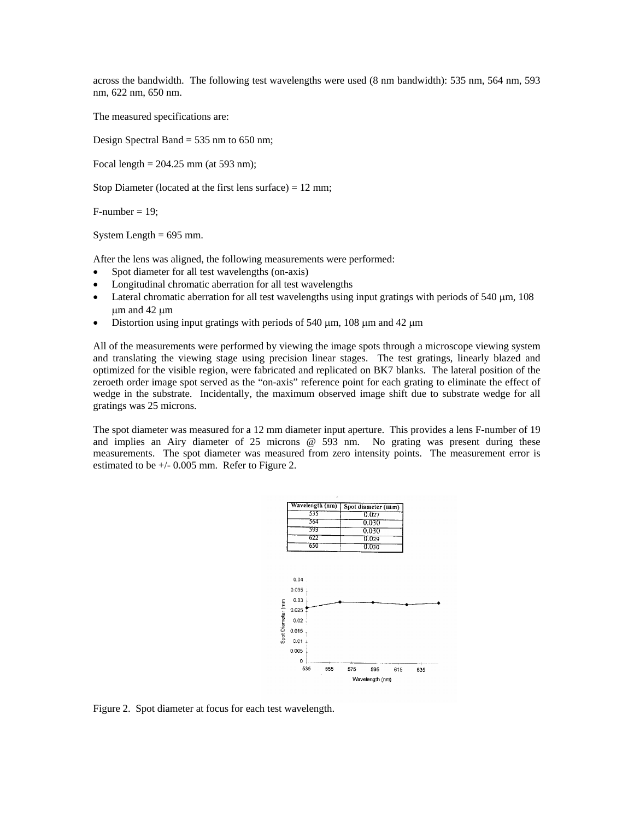across the bandwidth. The following test wavelengths were used (8 nm bandwidth): 535 nm, 564 nm, 593 nm, 622 nm, 650 nm.

The measured specifications are:

Design Spectral Band = 535 nm to 650 nm;

Focal length =  $204.25$  mm (at 593 nm);

Stop Diameter (located at the first lens surface)  $= 12$  mm;

 $F-number = 19;$ 

System Length  $= 695$  mm.

After the lens was aligned, the following measurements were performed:

- Spot diameter for all test wavelengths (on-axis)
- Longitudinal chromatic aberration for all test wavelengths
- Lateral chromatic aberration for all test wavelengths using input gratings with periods of  $540 \mu m$ ,  $108$  $\mu$ m and 42  $\mu$ m
- Distortion using input gratings with periods of 540  $\mu$ m, 108  $\mu$ m and 42  $\mu$ m

All of the measurements were performed by viewing the image spots through a microscope viewing system and translating the viewing stage using precision linear stages. The test gratings, linearly blazed and optimized for the visible region, were fabricated and replicated on BK7 blanks. The lateral position of the zeroeth order image spot served as the "on-axis" reference point for each grating to eliminate the effect of wedge in the substrate. Incidentally, the maximum observed image shift due to substrate wedge for all gratings was 25 microns.

The spot diameter was measured for a 12 mm diameter input aperture. This provides a lens F-number of 19 and implies an Airy diameter of 25 microns @ 593 nm. No grating was present during these measurements. The spot diameter was measured from zero intensity points. The measurement error is estimated to be +/- 0.005 mm. Refer to Figure 2.



Figure 2. Spot diameter at focus for each test wavelength.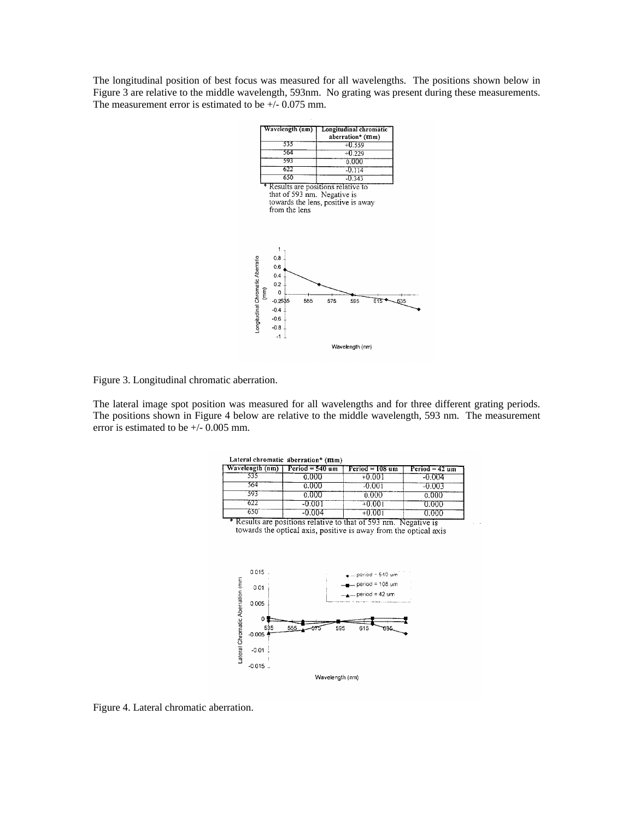The longitudinal position of best focus was measured for all wavelengths. The positions shown below in Figure 3 are relative to the middle wavelength, 593nm. No grating was present during these measurements. The measurement error is estimated to be +/- 0.075 mm.

|                                  | Wavelength (nm)                    |     |     | Longitudinal chromatic |     |     |
|----------------------------------|------------------------------------|-----|-----|------------------------|-----|-----|
|                                  |                                    |     |     | aberration* (mm)       |     |     |
|                                  | 535                                |     |     | $+0.559$               |     |     |
|                                  | 564                                |     |     | $+0.229$               |     |     |
|                                  | 593                                |     |     | 0.000                  |     |     |
|                                  | 622                                |     |     | $-0.114$               |     |     |
|                                  | 650                                |     |     | $-0.343$               |     |     |
|                                  | Results are positions relative to  |     |     |                        |     |     |
|                                  | that of 593 nm. Negative is        |     |     |                        |     |     |
|                                  | towards the lens, positive is away |     |     |                        |     |     |
|                                  | from the lens                      |     |     |                        |     |     |
|                                  |                                    |     |     |                        |     |     |
|                                  |                                    |     |     |                        |     |     |
|                                  |                                    |     |     |                        |     |     |
|                                  |                                    |     |     |                        |     |     |
|                                  |                                    |     |     |                        |     |     |
|                                  | 0.8                                |     |     |                        |     |     |
|                                  | 0.6                                |     |     |                        |     |     |
|                                  | 0.4                                |     |     |                        |     |     |
|                                  | 0.2                                |     |     |                        |     |     |
|                                  | 0                                  |     |     |                        |     |     |
| (mm)                             | $-0.2535$                          | 555 | 575 | 595                    | 615 | 635 |
|                                  |                                    |     |     |                        |     |     |
|                                  | $-0.4$                             |     |     |                        |     |     |
|                                  | $-0.6$                             |     |     |                        |     |     |
| Longitudinal Chromatic Aberratio | $-0.8$                             |     |     |                        |     |     |
|                                  | $-1$                               |     |     |                        |     |     |
|                                  |                                    |     |     | Wavelength (nm)        |     |     |

۰

Figure 3. Longitudinal chromatic aberration.

The lateral image spot position was measured for all wavelengths and for three different grating periods. The positions shown in Figure 4 below are relative to the middle wavelength, 593 nm. The measurement error is estimated to be +/- 0.005 mm.

| Lateral chromatic aberration* (mm) |                   |                   |                  |  |  |  |  |  |
|------------------------------------|-------------------|-------------------|------------------|--|--|--|--|--|
| Wavelength (nm)                    | $Period = 540$ um | $Period = 108$ um | $Period = 42$ um |  |  |  |  |  |
|                                    | 0.UUU             | +0.001            | -0.004           |  |  |  |  |  |
| 564.                               | 0.000             | $-0.001$          | -0.003           |  |  |  |  |  |
| 593                                | 0.000             | 0.000             | 0.000            |  |  |  |  |  |
| 622                                | -0.001            | +11 1 11 1        |                  |  |  |  |  |  |
|                                    |                   |                   |                  |  |  |  |  |  |

\* Results are positions relative to that of 593 nm. Negative is towards the optical axis, positive is away from the optical axis



Figure 4. Lateral chromatic aberration.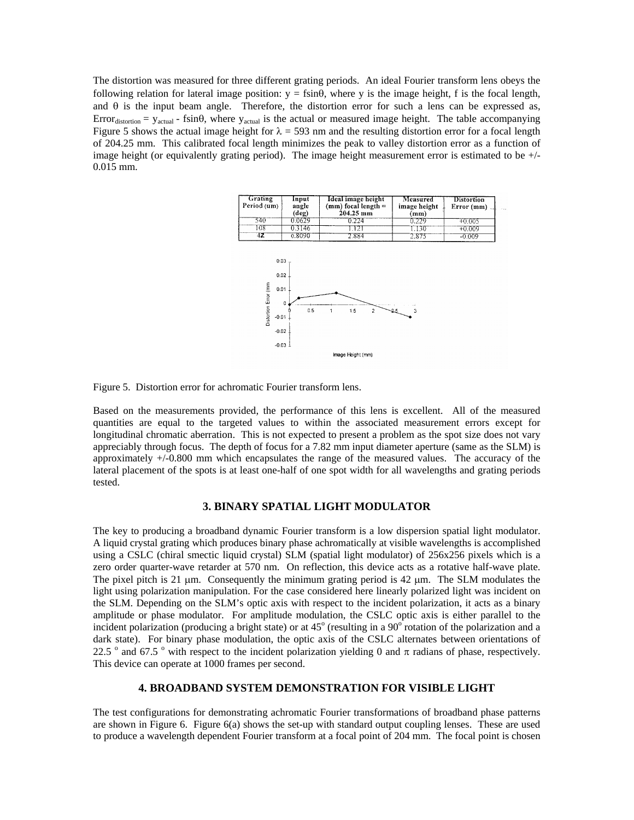The distortion was measured for three different grating periods. An ideal Fourier transform lens obeys the following relation for lateral image position:  $y = f\sin\theta$ , where y is the image height, f is the focal length, and  $\theta$  is the input beam angle. Therefore, the distortion error for such a lens can be expressed as, Error<sub>distortion</sub> =  $y_{actual}$  - fsin $\theta$ , where  $y_{actual}$  is the actual or measured image height. The table accompanying Figure 5 shows the actual image height for  $\lambda = 593$  nm and the resulting distortion error for a focal length of 204.25 mm. This calibrated focal length minimizes the peak to valley distortion error as a function of image height (or equivalently grating period). The image height measurement error is estimated to be +/- 0.015 mm.

| 540<br>108<br>42<br>0.03<br>$0.02$ .<br>Distortion Error (mm<br>0.01<br>0<br>$-0.01$ | 0.0629<br>0.3146<br>0.8090 | 0.224<br>LI 21<br>2.884    | 0.229<br>1.130 | $+0.005$<br>$+0.009$ |
|--------------------------------------------------------------------------------------|----------------------------|----------------------------|----------------|----------------------|
|                                                                                      |                            |                            |                |                      |
|                                                                                      |                            |                            |                |                      |
|                                                                                      |                            |                            | 2.875          | $-0.009$             |
| $-0.02$<br>$-0.03 \perp$                                                             | 0.5                        | 1.5<br>1<br>$\overline{c}$ | 3              |                      |

Figure 5. Distortion error for achromatic Fourier transform lens.

Based on the measurements provided, the performance of this lens is excellent. All of the measured quantities are equal to the targeted values to within the associated measurement errors except for longitudinal chromatic aberration. This is not expected to present a problem as the spot size does not vary appreciably through focus. The depth of focus for a 7.82 mm input diameter aperture (same as the SLM) is approximately +/-0.800 mm which encapsulates the range of the measured values. The accuracy of the lateral placement of the spots is at least one-half of one spot width for all wavelengths and grating periods tested.

# **3. BINARY SPATIAL LIGHT MODULATOR**

The key to producing a broadband dynamic Fourier transform is a low dispersion spatial light modulator. A liquid crystal grating which produces binary phase achromatically at visible wavelengths is accomplished using a CSLC (chiral smectic liquid crystal) SLM (spatial light modulator) of 256x256 pixels which is a zero order quarter-wave retarder at 570 nm. On reflection, this device acts as a rotative half-wave plate. The pixel pitch is 21  $\mu$ m. Consequently the minimum grating period is 42  $\mu$ m. The SLM modulates the light using polarization manipulation. For the case considered here linearly polarized light was incident on the SLM. Depending on the SLM's optic axis with respect to the incident polarization, it acts as a binary amplitude or phase modulator. For amplitude modulation, the CSLC optic axis is either parallel to the incident polarization (producing a bright state) or at  $45^{\circ}$  (resulting in a  $90^{\circ}$  rotation of the polarization and a dark state). For binary phase modulation, the optic axis of the CSLC alternates between orientations of 22.5  $\degree$  and 67.5  $\degree$  with respect to the incident polarization yielding 0 and  $\pi$  radians of phase, respectively. This device can operate at 1000 frames per second.

#### **4. BROADBAND SYSTEM DEMONSTRATION FOR VISIBLE LIGHT**

The test configurations for demonstrating achromatic Fourier transformations of broadband phase patterns are shown in Figure 6. Figure 6(a) shows the set-up with standard output coupling lenses. These are used to produce a wavelength dependent Fourier transform at a focal point of 204 mm. The focal point is chosen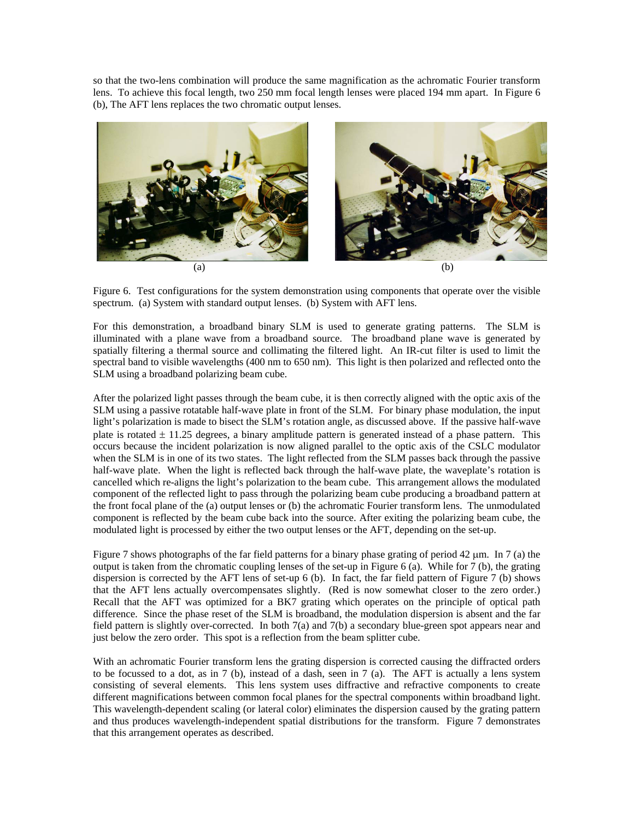so that the two-lens combination will produce the same magnification as the achromatic Fourier transform lens. To achieve this focal length, two 250 mm focal length lenses were placed 194 mm apart. In Figure 6 (b), The AFT lens replaces the two chromatic output lenses.



Figure 6. Test configurations for the system demonstration using components that operate over the visible spectrum. (a) System with standard output lenses. (b) System with AFT lens.

For this demonstration, a broadband binary SLM is used to generate grating patterns. The SLM is illuminated with a plane wave from a broadband source. The broadband plane wave is generated by spatially filtering a thermal source and collimating the filtered light. An IR-cut filter is used to limit the spectral band to visible wavelengths (400 nm to 650 nm). This light is then polarized and reflected onto the SLM using a broadband polarizing beam cube.

After the polarized light passes through the beam cube, it is then correctly aligned with the optic axis of the SLM using a passive rotatable half-wave plate in front of the SLM. For binary phase modulation, the input light's polarization is made to bisect the SLM's rotation angle, as discussed above. If the passive half-wave plate is rotated  $\pm$  11.25 degrees, a binary amplitude pattern is generated instead of a phase pattern. This occurs because the incident polarization is now aligned parallel to the optic axis of the CSLC modulator when the SLM is in one of its two states. The light reflected from the SLM passes back through the passive half-wave plate. When the light is reflected back through the half-wave plate, the waveplate's rotation is cancelled which re-aligns the light's polarization to the beam cube. This arrangement allows the modulated component of the reflected light to pass through the polarizing beam cube producing a broadband pattern at the front focal plane of the (a) output lenses or (b) the achromatic Fourier transform lens. The unmodulated component is reflected by the beam cube back into the source. After exiting the polarizing beam cube, the modulated light is processed by either the two output lenses or the AFT, depending on the set-up.

Figure 7 shows photographs of the far field patterns for a binary phase grating of period 42  $\mu$ m. In 7 (a) the output is taken from the chromatic coupling lenses of the set-up in Figure 6 (a). While for 7 (b), the grating dispersion is corrected by the AFT lens of set-up 6 (b). In fact, the far field pattern of Figure 7 (b) shows that the AFT lens actually overcompensates slightly. (Red is now somewhat closer to the zero order.) Recall that the AFT was optimized for a BK7 grating which operates on the principle of optical path difference. Since the phase reset of the SLM is broadband, the modulation dispersion is absent and the far field pattern is slightly over-corrected. In both 7(a) and 7(b) a secondary blue-green spot appears near and just below the zero order. This spot is a reflection from the beam splitter cube.

With an achromatic Fourier transform lens the grating dispersion is corrected causing the diffracted orders to be focussed to a dot, as in 7 (b), instead of a dash, seen in 7 (a). The AFT is actually a lens system consisting of several elements. This lens system uses diffractive and refractive components to create different magnifications between common focal planes for the spectral components within broadband light. This wavelength-dependent scaling (or lateral color) eliminates the dispersion caused by the grating pattern and thus produces wavelength-independent spatial distributions for the transform. Figure 7 demonstrates that this arrangement operates as described.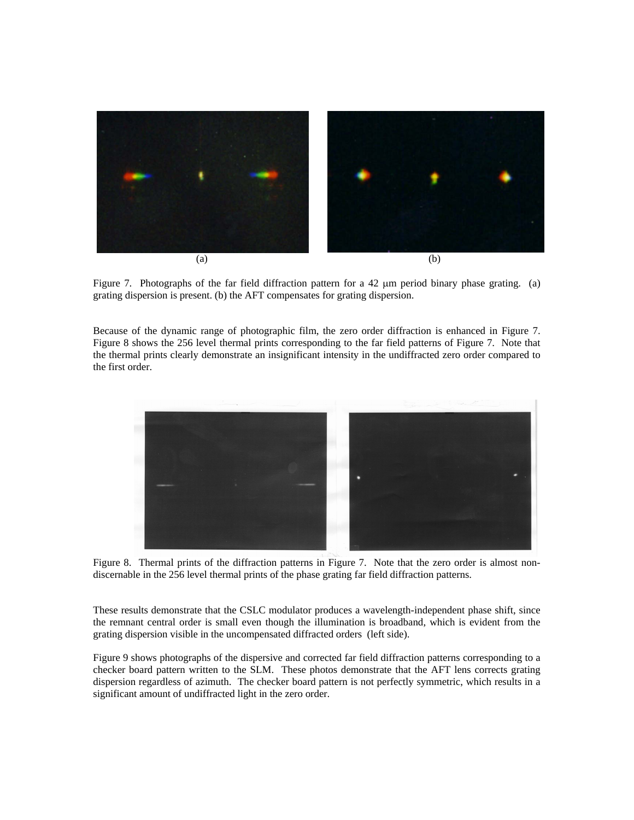

Figure 7. Photographs of the far field diffraction pattern for a 42  $\mu$ m period binary phase grating. (a) grating dispersion is present. (b) the AFT compensates for grating dispersion.

Because of the dynamic range of photographic film, the zero order diffraction is enhanced in Figure 7. Figure 8 shows the 256 level thermal prints corresponding to the far field patterns of Figure 7. Note that the thermal prints clearly demonstrate an insignificant intensity in the undiffracted zero order compared to the first order.



Figure 8. Thermal prints of the diffraction patterns in Figure 7. Note that the zero order is almost nondiscernable in the 256 level thermal prints of the phase grating far field diffraction patterns.

These results demonstrate that the CSLC modulator produces a wavelength-independent phase shift, since the remnant central order is small even though the illumination is broadband, which is evident from the grating dispersion visible in the uncompensated diffracted orders (left side).

Figure 9 shows photographs of the dispersive and corrected far field diffraction patterns corresponding to a checker board pattern written to the SLM. These photos demonstrate that the AFT lens corrects grating dispersion regardless of azimuth. The checker board pattern is not perfectly symmetric, which results in a significant amount of undiffracted light in the zero order.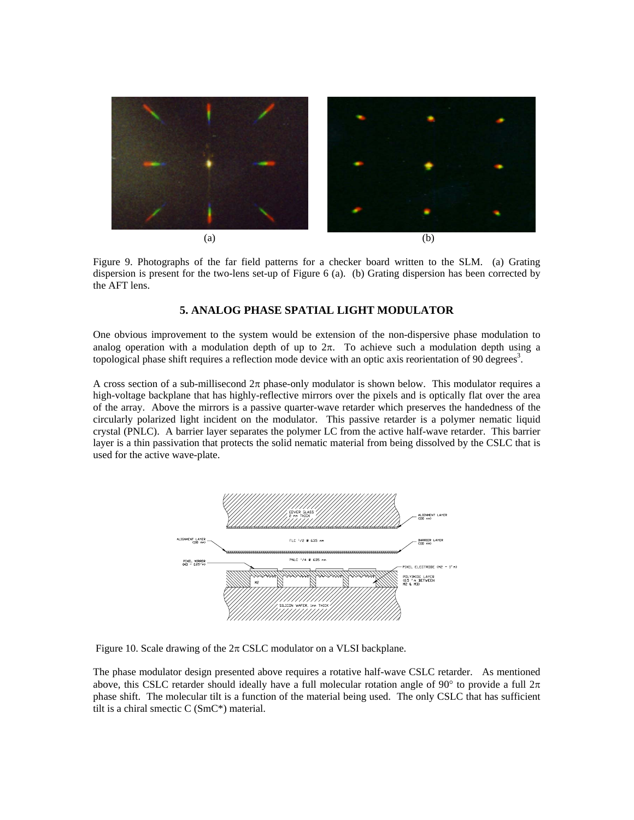

Figure 9. Photographs of the far field patterns for a checker board written to the SLM. (a) Grating dispersion is present for the two-lens set-up of Figure 6 (a). (b) Grating dispersion has been corrected by the AFT lens.

### **5. ANALOG PHASE SPATIAL LIGHT MODULATOR**

One obvious improvement to the system would be extension of the non-dispersive phase modulation to analog operation with a modulation depth of up to  $2\pi$ . To achieve such a modulation depth using a topological phase shift requires a reflection mode device with an optic axis reorientation of 90 degrees<sup>3</sup>.

A cross section of a sub-millisecond  $2\pi$  phase-only modulator is shown below. This modulator requires a high-voltage backplane that has highly-reflective mirrors over the pixels and is optically flat over the area of the array. Above the mirrors is a passive quarter-wave retarder which preserves the handedness of the circularly polarized light incident on the modulator. This passive retarder is a polymer nematic liquid crystal (PNLC). A barrier layer separates the polymer LC from the active half-wave retarder. This barrier layer is a thin passivation that protects the solid nematic material from being dissolved by the CSLC that is used for the active wave-plate.



Figure 10. Scale drawing of the  $2\pi$  CSLC modulator on a VLSI backplane.

The phase modulator design presented above requires a rotative half-wave CSLC retarder. As mentioned above, this CSLC retarder should ideally have a full molecular rotation angle of 90° to provide a full  $2\pi$ phase shift. The molecular tilt is a function of the material being used. The only CSLC that has sufficient tilt is a chiral smectic C (SmC\*) material.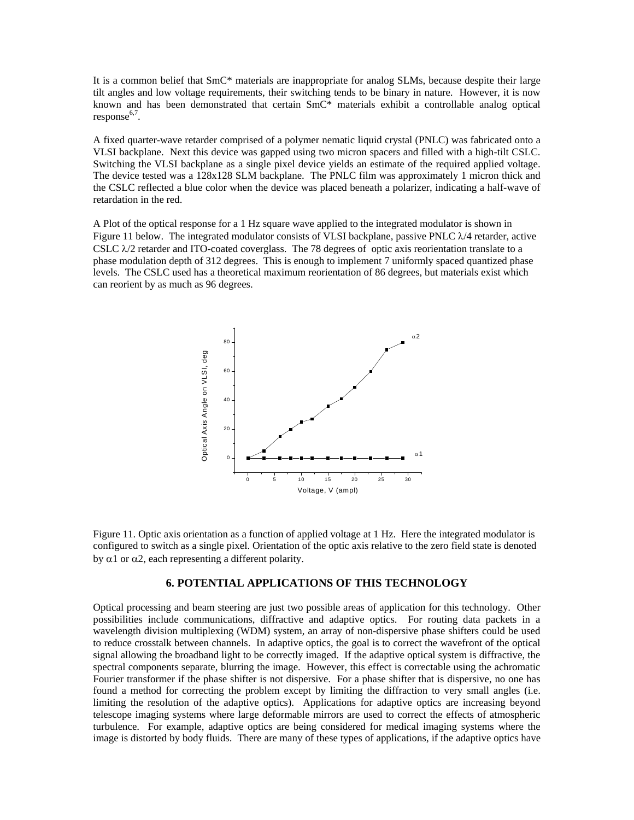It is a common belief that SmC\* materials are inappropriate for analog SLMs, because despite their large tilt angles and low voltage requirements, their switching tends to be binary in nature. However, it is now known and has been demonstrated that certain SmC\* materials exhibit a controllable analog optical response $6,7$ .

A fixed quarter-wave retarder comprised of a polymer nematic liquid crystal (PNLC) was fabricated onto a VLSI backplane. Next this device was gapped using two micron spacers and filled with a high-tilt CSLC. Switching the VLSI backplane as a single pixel device yields an estimate of the required applied voltage. The device tested was a 128x128 SLM backplane. The PNLC film was approximately 1 micron thick and the CSLC reflected a blue color when the device was placed beneath a polarizer, indicating a half-wave of retardation in the red.

A Plot of the optical response for a 1 Hz square wave applied to the integrated modulator is shown in Figure 11 below. The integrated modulator consists of VLSI backplane, passive PNLC  $\lambda/4$  retarder, active CSLC λ/2 retarder and ITO-coated coverglass. The 78 degrees of optic axis reorientation translate to a phase modulation depth of 312 degrees. This is enough to implement 7 uniformly spaced quantized phase levels. The CSLC used has a theoretical maximum reorientation of 86 degrees, but materials exist which can reorient by as much as 96 degrees.



Figure 11. Optic axis orientation as a function of applied voltage at 1 Hz. Here the integrated modulator is configured to switch as a single pixel. Orientation of the optic axis relative to the zero field state is denoted by  $\alpha$ 1 or  $\alpha$ 2, each representing a different polarity.

## **6. POTENTIAL APPLICATIONS OF THIS TECHNOLOGY**

Optical processing and beam steering are just two possible areas of application for this technology. Other possibilities include communications, diffractive and adaptive optics. For routing data packets in a wavelength division multiplexing (WDM) system, an array of non-dispersive phase shifters could be used to reduce crosstalk between channels. In adaptive optics, the goal is to correct the wavefront of the optical signal allowing the broadband light to be correctly imaged. If the adaptive optical system is diffractive, the spectral components separate, blurring the image. However, this effect is correctable using the achromatic Fourier transformer if the phase shifter is not dispersive. For a phase shifter that is dispersive, no one has found a method for correcting the problem except by limiting the diffraction to very small angles (i.e. limiting the resolution of the adaptive optics). Applications for adaptive optics are increasing beyond telescope imaging systems where large deformable mirrors are used to correct the effects of atmospheric turbulence. For example, adaptive optics are being considered for medical imaging systems where the image is distorted by body fluids. There are many of these types of applications, if the adaptive optics have